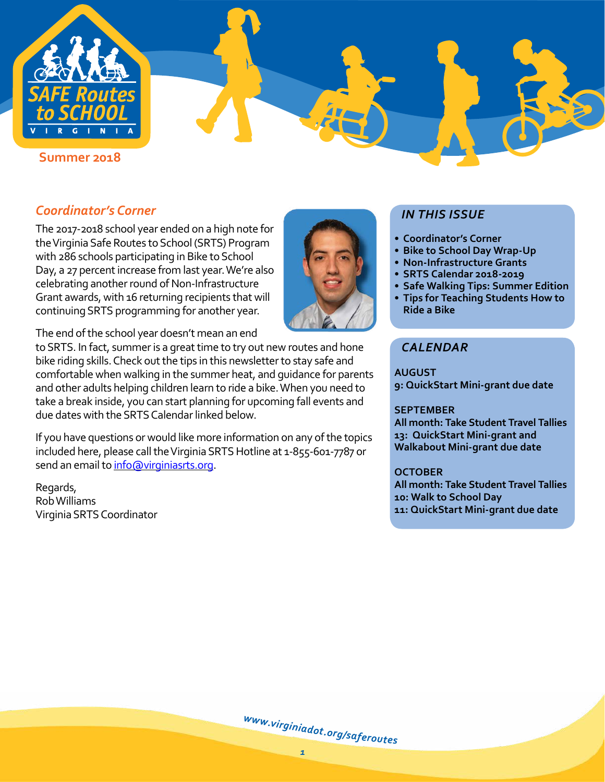

# *Coordinator's Corner*

The 2017-2018 school year ended on a high note for the Virginia Safe Routes to School (SRTS) Program with 286 schools participating in Bike to School Day, a 27 percent increase from last year. We're also celebrating another round of Non-Infrastructure Grant awards, with 16 returning recipients that will continuing SRTS programming for another year.



to SRTS. In fact, summer is a great time to try out new routes and hone bike riding skills. Check out the tips in this newsletter to stay safe and comfortable when walking in the summer heat, and guidance for parents and other adults helping children learn to ride a bike. When you need to take a break inside, you can start planning for upcoming fall events and due dates with the SRTS Calendar linked below.

If you have questions or would like more information on any of the topics included here, please call the Virginia SRTS Hotline at 1-855-601-7787 or send an email to [info@virginiasrts.org.](mailto:info%40virginiasrts.org?subject=)

Regards, Rob Williams Virginia SRTS Coordinator



- **• Coordinator's Corner**
- **• [Bike to School Day Wrap-Up](#page-1-0)**
- **• [Non-Infrastructure Grants](#page-2-0)**
- **• [SRTS Calendar 2018-2019](#page-3-0)**
- **• [Safe Walking Tips: Summer Edition](#page-3-1)**
- **• [Tips for Teaching Students How to](#page-4-0)  [Ride a Bike](#page-4-0)**

## *CALENDAR*

**AUGUST 9: QuickStart Mini-grant due date**

## **SEPTEMBER**

**All month: Take Student Travel Tallies 13: QuickStart Mini-grant and Walkabout Mini-grant due date**

## **OCTOBER**

**All month: Take Student Travel Tallies 10: Walk to School Day 11: QuickStart Mini-grant due date**

[w](http://www.virginiadot.org/saferoutes)ww.[v](http://www.virginiadot.org/saferoutes)[i](http://www.virginiadot.org/saferoutes)[r](http://www.virginiadot.org/saferoutes)[g](http://www.virginiadot.org/saferoutes)i[n](http://www.virginiadot.org/saferoutes)i[a](http://www.virginiadot.org/saferoutes)[d](http://www.virginiadot.org/saferoutes)[o](http://www.virginiadot.org/saferoutes)[t](http://www.virginiadot.org/saferoutes).org[/](http://www.virginiadot.org/saferoutes)[s](http://www.virginiadot.org/saferoutes)a[f](http://www.virginiadot.org/saferoutes)[e](http://www.virginiadot.org/saferoutes)ro[u](http://www.virginiadot.org/saferoutes)tes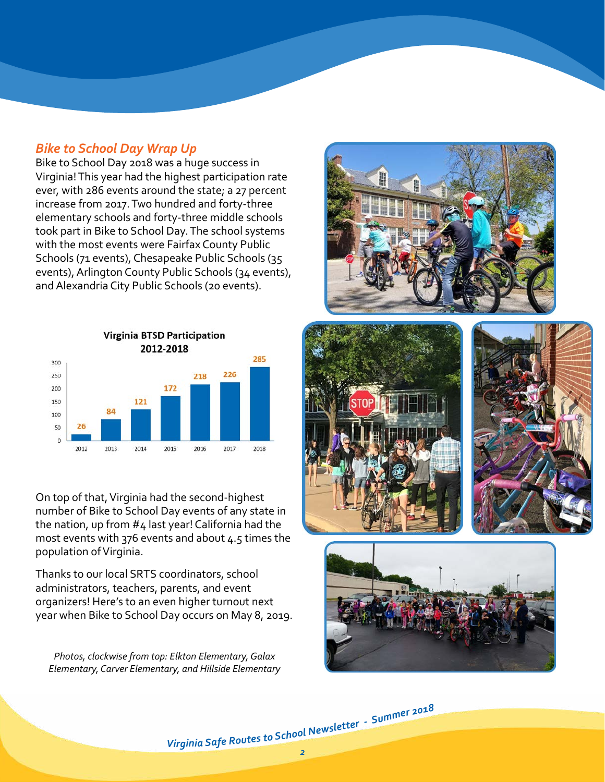## <span id="page-1-0"></span>*Bike to School Day Wrap Up*

Bike to School Day 2018 was a huge success in Virginia! This year had the highest participation rate ever, with 286 events around the state; a 27 percent increase from 2017. Two hundred and forty-three elementary schools and forty-three middle schools took part in Bike to School Day. The school systems with the most events were Fairfax County Public Schools (71 events), Chesapeake Public Schools (35 events), Arlington County Public Schools (34 events), and Alexandria City Public Schools (20 events).



On top of that, Virginia had the second-highest number of Bike to School Day events of any state in the nation, up from #4 last year! California had the most events with 376 events and about 4.5 times the population of Virginia.

Thanks to our local SRTS coordinators, school administrators, teachers, parents, and event organizers! Here's to an even higher turnout next year when Bike to School Day occurs on May 8, 2019.

*Photos, clockwise from top: Elkton Elementary, Galax Elementary, Carver Elementary, and Hillside Elementary*







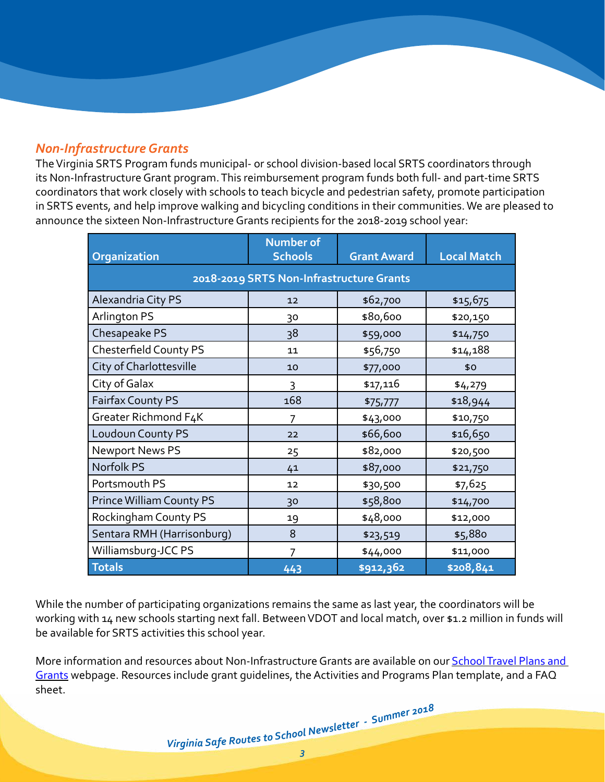## <span id="page-2-0"></span>*Non-Infrastructure Grants*

The Virginia SRTS Program funds municipal- or school division-based local SRTS coordinators through its Non-Infrastructure Grant program. This reimbursement program funds both full- and part-time SRTS coordinators that work closely with schools to teach bicycle and pedestrian safety, promote participation in SRTS events, and help improve walking and bicycling conditions in their communities. We are pleased to announce the sixteen Non-Infrastructure Grants recipients for the 2018-2019 school year:

| Organization                             | <b>Number of</b><br><b>Schools</b> | <b>Grant Award</b> | <b>Local Match</b> |
|------------------------------------------|------------------------------------|--------------------|--------------------|
| 2018-2019 SRTS Non-Infrastructure Grants |                                    |                    |                    |
| Alexandria City PS                       | 12                                 | \$62,700           | \$15,675           |
| Arlington PS                             | 30                                 | \$80,600           | \$20,150           |
| Chesapeake PS                            | 38                                 | \$59,000           | \$14,750           |
| <b>Chesterfield County PS</b>            | 11                                 | \$56,750           | \$14,188           |
| City of Charlottesville                  | 10                                 | \$77,000           | \$0                |
| City of Galax                            | 3                                  | \$17,116           | \$4,279            |
| Fairfax County PS                        | 168                                | \$75,777           | \$18,944           |
| Greater Richmond F4K                     | 7                                  | \$43,000           | \$10,750           |
| Loudoun County PS                        | 22                                 | \$66,600           | \$16,650           |
| <b>Newport News PS</b>                   | 25                                 | \$82,000           | \$20,500           |
| Norfolk PS                               | 41                                 | \$87,000           | \$21,750           |
| Portsmouth PS                            | 12                                 | \$30,500           | \$7,625            |
| <b>Prince William County PS</b>          | 30                                 | \$58,800           | \$14,700           |
| Rockingham County PS                     | 19                                 | \$48,000           | \$12,000           |
| Sentara RMH (Harrisonburg)               | 8                                  | \$23,519           | \$5,880            |
| Williamsburg-JCC PS                      | 7                                  | \$44,000           | \$11,000           |
| <b>Totals</b>                            | 443                                | \$912,362          | \$208,841          |

While the number of participating organizations remains the same as last year, the coordinators will be working with 14 new schools starting next fall. Between VDOT and local match, over \$1.2 million in funds will be available for SRTS activities this school year.

More information and resources about Non-Infrastructure Grants are available on our **School Travel Plans and** [Grants](http://www.virginiadot.org/programs/srsm_school_travel_plans_and_grants.asp) webpage. Resources include grant guidelines, the Activities and Programs Plan template, and a FAQ sheet.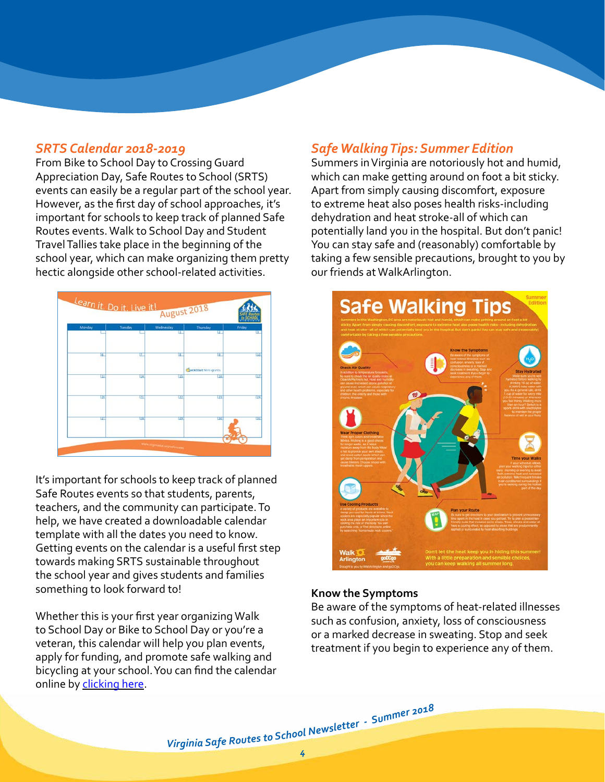## <span id="page-3-0"></span>*SRTS Calendar 2018-2019*

From Bike to School Day to Crossing Guard Appreciation Day, Safe Routes to School (SRTS) events can easily be a regular part of the school year. However, as the first day of school approaches, it's important for schools to keep track of planned Safe Routes events. Walk to School Day and Student Travel Tallies take place in the beginning of the school year, which can make organizing them pretty hectic alongside other school-related activities.



It's important for schools to keep track of planned Safe Routes events so that students, parents, teachers, and the community can participate. To help, we have created a downloadable calendar template with all the dates you need to know. Getting events on the calendar is a useful first step towards making SRTS sustainable throughout the school year and gives students and families something to look forward to!

Whether this is your first year organizing Walk to School Day or Bike to School Day or you're a veteran, this calendar will help you plan events, apply for funding, and promote safe walking and bicycling at your school. You can find the calendar online by [clicking here.](http://www.virginiadot.org/programs/resources/safe_routes/2016-2017/Resources/LDL_2018-2019_VA_SRTS_Calendar.pdf)

## <span id="page-3-1"></span>*Safe Walking Tips: Summer Edition*

Summers in Virginia are notoriously hot and humid, which can make getting around on foot a bit sticky. Apart from simply causing discomfort, exposure to extreme heat also poses health risks-including dehydration and heat stroke-all of which can potentially land you in the hospital. But don't panic! You can stay safe and (reasonably) comfortable by taking a few sensible precautions, brought to you by our friends at WalkArlington.



#### **Know the Symptoms**

Be aware of the symptoms of heat-related illnesses such as confusion, anxiety, loss of consciousness or a marked decrease in sweating. Stop and seek treatment if you begin to experience any of them.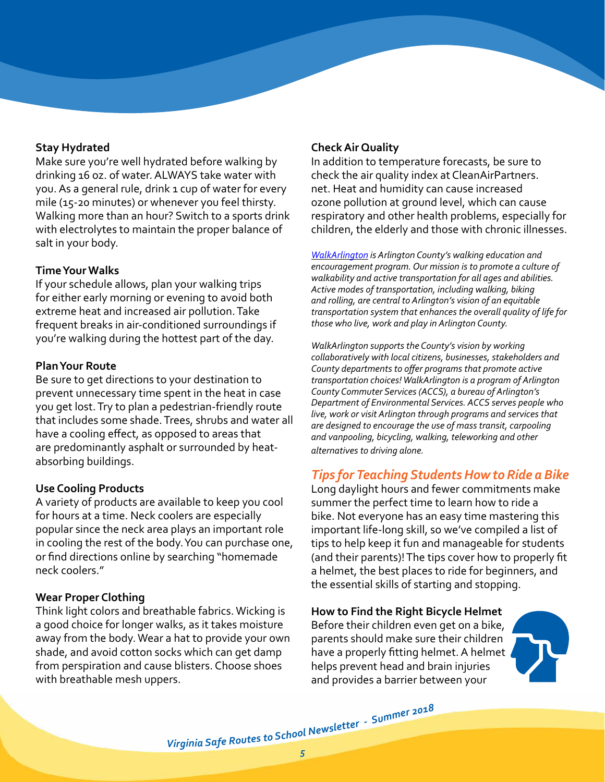## **Stay Hydrated**

Make sure you're well hydrated before walking by drinking 16 oz. of water. ALWAYS take water with you. As a general rule, drink 1 cup of water for every mile (15-20 minutes) or whenever you feel thirsty. Walking more than an hour? Switch to a sports drink with electrolytes to maintain the proper balance of salt in your body.

### **Time Your Walks**

If your schedule allows, plan your walking trips for either early morning or evening to avoid both extreme heat and increased air pollution. Take frequent breaks in air-conditioned surroundings if you're walking during the hottest part of the day.

#### **Plan Your Route**

Be sure to get directions to your destination to prevent unnecessary time spent in the heat in case you get lost. Try to plan a pedestrian-friendly route that includes some shade. Trees, shrubs and water all have a cooling effect, as opposed to areas that are predominantly asphalt or surrounded by heatabsorbing buildings.

#### **Use Cooling Products**

A variety of products are available to keep you cool for hours at a time. Neck coolers are especially popular since the neck area plays an important role in cooling the rest of the body. You can purchase one, or find directions online by searching "homemade neck coolers."

#### **Wear Proper Clothing**

Think light colors and breathable fabrics. Wicking is a good choice for longer walks, as it takes moisture away from the body. Wear a hat to provide your own shade, and avoid cotton socks which can get damp from perspiration and cause blisters. Choose shoes with breathable mesh uppers.

### **Check Air Quality**

In addition to temperature forecasts, be sure to check the air quality index at CleanAirPartners. net. Heat and humidity can cause increased ozone pollution at ground level, which can cause respiratory and other health problems, especially for children, the elderly and those with chronic illnesses.

*[WalkArlington](http://www.walkarlington.com/) is Arlington County's walking education and encouragement program. Our mission is to promote a culture of walkability and active transportation for all ages and abilities. Active modes of transportation, including walking, biking and rolling, are central to Arlington's vision of an equitable transportation system that enhances the overall quality of life for those who live, work and play in Arlington County.*

*WalkArlington supports the County's vision by working collaboratively with local citizens, businesses, stakeholders and County departments to offer programs that promote active transportation choices! WalkArlington is a program of Arlington County Commuter Services (ACCS), a bureau of Arlington's Department of Environmental Services. ACCS serves people who live, work or visit Arlington through programs and services that are designed to encourage the use of mass transit, carpooling and vanpooling, bicycling, walking, teleworking and other alternatives to driving alone.*

## <span id="page-4-0"></span>*Tips for Teaching Students How to Ride a Bike*

Long daylight hours and fewer commitments make summer the perfect time to learn how to ride a bike. Not everyone has an easy time mastering this important life-long skill, so we've compiled a list of tips to help keep it fun and manageable for students (and their parents)! The tips cover how to properly fit a helmet, the best places to ride for beginners, and the essential skills of starting and stopping.

**How to Find the Right Bicycle Helmet** Before their children even get on a bike, parents should make sure their children have a properly fitting helmet. A helmet helps prevent head and brain injuries and provides a barrier between your

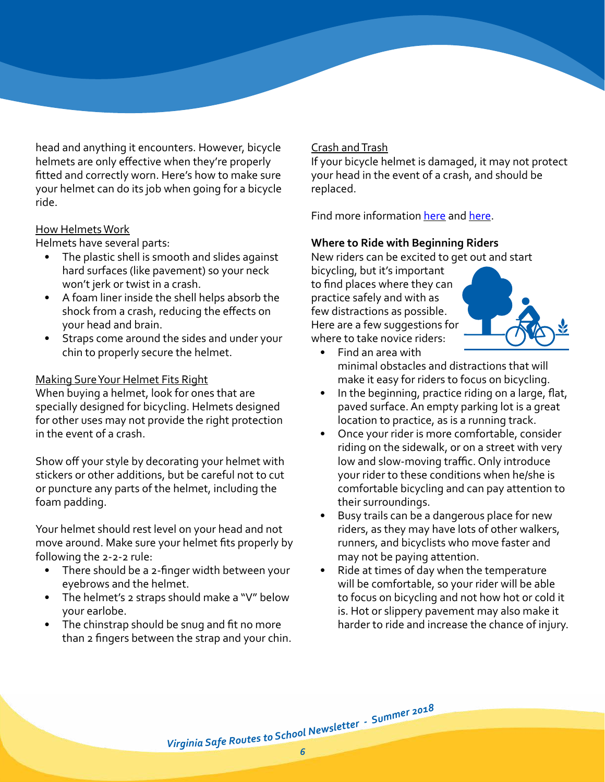head and anything it encounters. However, bicycle helmets are only effective when they're properly fitted and correctly worn. Here's how to make sure your helmet can do its job when going for a bicycle ride.

### How Helmets Work

Helmets have several parts:

- The plastic shell is smooth and slides against hard surfaces (like pavement) so your neck won't jerk or twist in a crash.
- A foam liner inside the shell helps absorb the shock from a crash, reducing the effects on your head and brain.
- Straps come around the sides and under your chin to properly secure the helmet.

## Making Sure Your Helmet Fits Right

When buying a helmet, look for ones that are specially designed for bicycling. Helmets designed for other uses may not provide the right protection in the event of a crash.

Show off your style by decorating your helmet with stickers or other additions, but be careful not to cut or puncture any parts of the helmet, including the foam padding.

Your helmet should rest level on your head and not move around. Make sure your helmet fits properly by following the 2-2-2 rule:

- There should be a 2-finger width between your eyebrows and the helmet.
- The helmet's 2 straps should make a "V" below your earlobe.
- The chinstrap should be snug and fit no more than 2 fingers between the strap and your chin.

## Crash and Trash

If your bicycle helmet is damaged, it may not protect your head in the event of a crash, and should be replaced.

Find more information [here](http://www.doe.virginia.gov/instruction/physed/bicycle_safety/lesson_plans/health_phys_ed/helmet_safety_k-2.pdf) and here.

## **Where to Ride with Beginning Riders**

New riders can be excited to get out and start

bicycling, but it's important to find places where they can practice safely and with as few distractions as possible. Here are a few suggestions for where to take novice riders:



- Find an area with minimal obstacles and distractions that will make it easy for riders to focus on bicycling.
- In the beginning, practice riding on a large, flat, paved surface. An empty parking lot is a great location to practice, as is a running track.
- Once your rider is more comfortable, consider riding on the sidewalk, or on a street with very low and slow-moving traffic. Only introduce your rider to these conditions when he/she is comfortable bicycling and can pay attention to their surroundings.
- Busy trails can be a dangerous place for new riders, as they may have lots of other walkers, runners, and bicyclists who move faster and may not be paying attention.
- Ride at times of day when the temperature will be comfortable, so your rider will be able to focus on bicycling and not how hot or cold it is. Hot or slippery pavement may also make it harder to ride and increase the chance of injury.